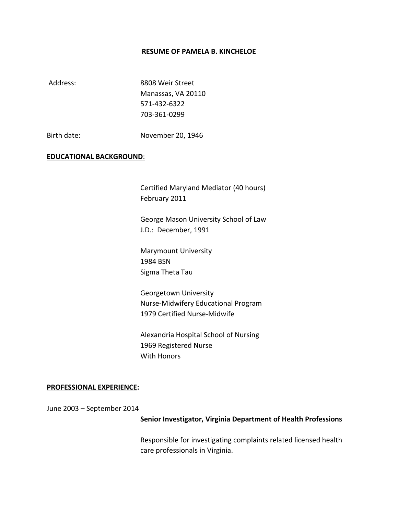#### **RESUME OF PAMELA B. KINCHELOE**

Address: 8808 Weir Street Manassas, VA 20110 571-432-6322 703-361-0299

Birth date: November 20, 1946

## **EDUCATIONAL BACKGROUND**:

Certified Maryland Mediator (40 hours) February 2011

George Mason University School of Law J.D.: December, 1991

Marymount University 1984 BSN Sigma Theta Tau

Georgetown University Nurse-Midwifery Educational Program 1979 Certified Nurse-Midwife

Alexandria Hospital School of Nursing 1969 Registered Nurse With Honors

#### **PROFESSIONAL EXPERIENCE:**

June 2003 – September 2014

#### **Senior Investigator, Virginia Department of Health Professions**

Responsible for investigating complaints related licensed health care professionals in Virginia.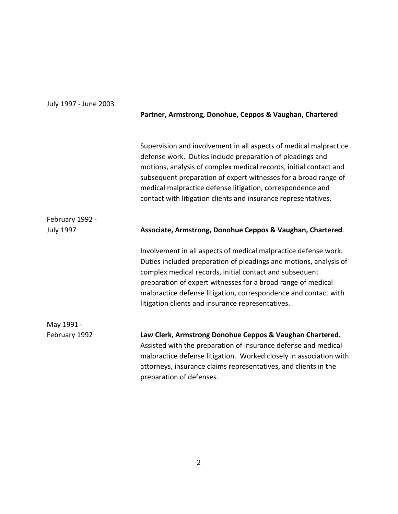# July 1997 - June 2003 **Partner, Armstrong, Donohue, Ceppos & Vaughan, Chartered** Supervision and involvement in all aspects of medical malpractice defense work. Duties include preparation of pleadings and motions, analysis of complex medical records, initial contact and subsequent preparation of expert witnesses for a broad range of medical malpractice defense litigation, correspondence and contact with litigation clients and insurance representatives. February 1992 - July 1997 **Associate, Armstrong, Donohue Ceppos & Vaughan, Chartered**. Involvement in all aspects of medical malpractice defense work. Duties included preparation of pleadings and motions, analysis of complex medical records, initial contact and subsequent preparation of expert witnesses for a broad range of medical malpractice defense litigation, correspondence and contact with litigation clients and insurance representatives. May 1991 - February 1992 **Law Clerk, Armstrong Donohue Ceppos & Vaughan Chartered.** Assisted with the preparation of insurance defense and medical malpractice defense litigation. Worked closely in association with attorneys, insurance claims representatives, and clients in the preparation of defenses.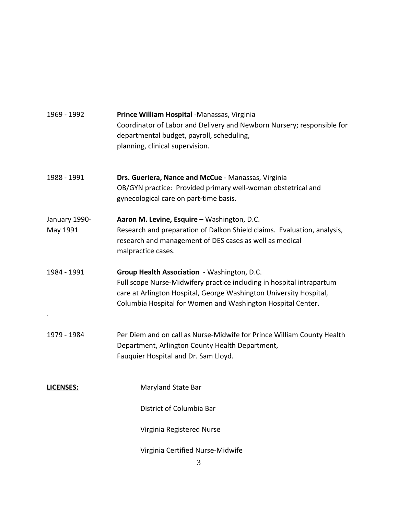| 1969 - 1992               | Prince William Hospital -Manassas, Virginia<br>Coordinator of Labor and Delivery and Newborn Nursery; responsible for<br>departmental budget, payroll, scheduling,<br>planning, clinical supervision.                                                     |
|---------------------------|-----------------------------------------------------------------------------------------------------------------------------------------------------------------------------------------------------------------------------------------------------------|
| 1988 - 1991               | Drs. Gueriera, Nance and McCue - Manassas, Virginia<br>OB/GYN practice: Provided primary well-woman obstetrical and<br>gynecological care on part-time basis.                                                                                             |
| January 1990-<br>May 1991 | Aaron M. Levine, Esquire - Washington, D.C.<br>Research and preparation of Dalkon Shield claims. Evaluation, analysis,<br>research and management of DES cases as well as medical<br>malpractice cases.                                                   |
| 1984 - 1991               | Group Health Association - Washington, D.C.<br>Full scope Nurse-Midwifery practice including in hospital intrapartum<br>care at Arlington Hospital, George Washington University Hospital,<br>Columbia Hospital for Women and Washington Hospital Center. |
| 1979 - 1984               | Per Diem and on call as Nurse-Midwife for Prince William County Health<br>Department, Arlington County Health Department,<br>Fauquier Hospital and Dr. Sam Lloyd.                                                                                         |
| <b>LICENSES:</b>          | Maryland State Bar                                                                                                                                                                                                                                        |
|                           | District of Columbia Bar                                                                                                                                                                                                                                  |
|                           | Virginia Registered Nurse                                                                                                                                                                                                                                 |
|                           | Virginia Certified Nurse-Midwife                                                                                                                                                                                                                          |